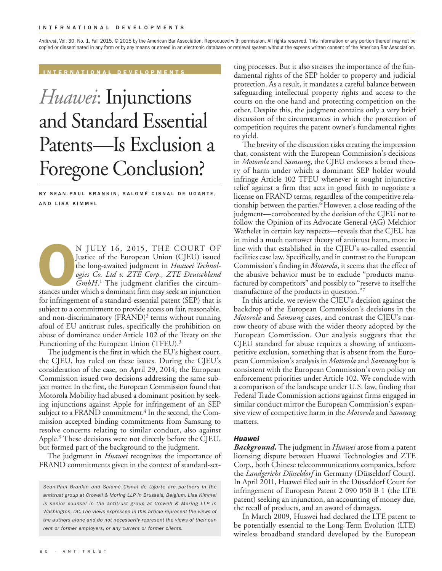*Antitrust*, Vol. 30, No. 1, Fall 2015. © 2015 by the American Bar Association. Reproduced with permission. All rights reserved. This information or any portion thereof may not be copied or disseminated in any form or by any means or stored in an electronic database or retrieval system without the express written consent of the American Bar Association.

**I N T E R N A T I O N A L D E V E L O P M E N T S**

# *Huawei*: Injunctions and Standard Essential Patents—Is Exclusion a Foregone Conclusion?

BY SEAN-PAUL BRANKIN, SALOMÉ CISNAL DE UGARTE, AND LISA KIMMEL

N JULY 16, 2015, THE COURT OF<br>Justice of the European Union (CJEU) issued<br>the long-awaited judgment in *Huawei Technol-<br>ogies Co. Ltd v. ZTE Corp., ZTE Deutschland<br>GmbH.<sup>1</sup> The judgment clarifies the circum-<br>stances under* Justice of the European Union (CJEU) issued the long-awaited judgment in *Huawei Technologies Co. Ltd v. ZTE Corp., ZTE Deutschland GmbH*. <sup>1</sup> The judgment clarifies the circumfor infringement of a standard-essential patent (SEP) that is subject to a commitment to provide access on fair, reasonable, and non-discriminatory (FRAND) <sup>2</sup> terms without running afoul of EU antitrust rules, specifically the prohibition on abuse of dominance under Article 102 of the Treaty on the Functioning of the European Union (TFEU). 3

The judgment is the first in which the EU's highest court, the CJEU, has ruled on these issues. During the CJEU's consideration of the case, on April 29, 2014, the European Commission issued two decisions addressing the same subject matter. In the first, the European Commission found that Motorola Mobility had abused a dominant position by seeking injunctions against Apple for infringement of an SEP subject to a FRAND commitment. <sup>4</sup> In the second, the Commission accepted binding commitments from Samsung to resolve concerns relating to similar conduct, also against Apple. <sup>5</sup> These decisions were not directly before the CJEU, but formed part of the background to the judgment.

The judgment in *Huawei* recognizes the importance of FRAND commitments given in the context of standard-set-

*Sean-Paul Brankin and Salomé Cisnal de Ugarte are partners in the antitrust group at Crowell & Moring LLP in Brussels, Belgium. Lisa Kimmel is senior counsel in the antitrust group at Crowell & Moring LLP in Washington, DC. The views expressed in this article represent the views of the authors alone and do not necessarily represent the views of their current or former employers, or any current or former clients.*

ting processes. But it also stresses the importance of the fundamental rights of the SEP holder to property and judicial protection. As a result, it mandates a careful balance between safeguarding intellectual property rights and access to the courts on the one hand and protecting competition on the other. Despite this, the judgment contains only a very brief discussion of the circumstances in which the protection of competition requires the patent owner's fundamental rights to yield.

The brevity of the discussion risks creating the impression that, consistent with the European Commission's decisions in *Motorola* and *Samsung*, the CJEU endorses a broad theory of harm under which a dominant SEP holder would infringe Article 102 TFEU whenever it sought injunctive relief against a firm that acts in good faith to negotiate a license on FRAND terms, regardless of the competitive relationship between the parties. <sup>6</sup> However, a close reading of the judgment—corroborated by the decision of the CJEU not to follow the Opinion of its Advocate General (AG) Melchior Wathelet in certain key respects—reveals that the CJEU has in mind a much narrower theory of antitrust harm, more in line with that established in the CJEU's so-called essential facilities case law. Specifically, and in contrast to the European Commission's finding in *Motorola*, it seems that the effect of the abusive behavior must be to exclude "products manufactured by competitors" and possibly to "reserve to itself the manufacture of the products in question."7

In this article, we review the CJEU's decision against the backdrop of the European Commission's decisions in the *Motorola* and *Samsung* cases, and contrast the CJEU's narrow theory of abuse with the wider theory adopted by the European Commission. Our analysis suggests that the CJEU standard for abuse requires a showing of anticompetitive exclusion, something that is absent from the European Commission's analysis in *Motorola* and *Samsung* but is consistent with the European Commission's own policy on enforcement priorities under Article 102. We conclude with a comparison of the landscape under U.S. law, finding that Federal Trade Commission actions against firms engaged in similar conduct mirror the European Commission's expansive view of competitive harm in the *Motorola* and *Samsung* matters.

### *Huawei*

*Background.* The judgment in *Huawei* arose from a patent licensing dispute between Huawei Technologies and ZTE Corp., both Chinese telecommunications companies, before the *Landgericht Düsseldorf* in Germany (Düsseldorf Court). In April 2011, Huawei filed suit in the Düsseldorf Court for infringement of European Patent 2 090 050 B 1 (the LTE patent) seeking an injunction, an accounting of money due, the recall of products, and an award of damages.

In March 2009, Huawei had declared the LTE patent to be potentially essential to the Long-Term Evolution (LTE) wireless broadband standard developed by the European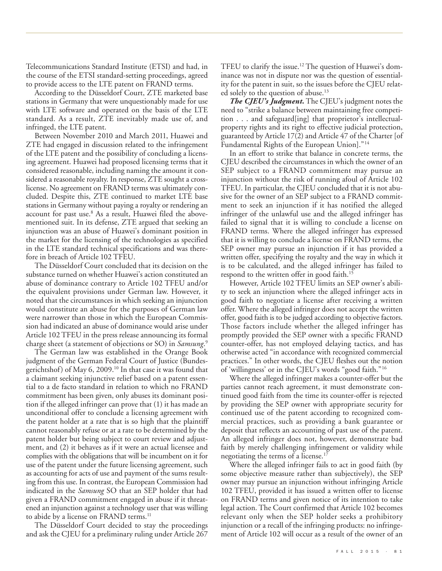Telecommunications Standard Institute (ETSI) and had, in the course of the ETSI standard-setting proceedings, agreed to provide access to the LTE patent on FRAND terms.

According to the Düsseldorf Court, ZTE marketed base stations in Germany that were unquestionably made for use with LTE software and operated on the basis of the LTE standard. As a result, ZTE inevitably made use of, and infringed, the LTE patent.

Between November 2010 and March 2011, Huawei and ZTE had engaged in discussion related to the infringement of the LTE patent and the possibility of concluding a licensing agreement. Huawei had proposed licensing terms that it considered reasonable, including naming the amount it considered a reasonable royalty. In response, ZTE sought a crosslicense. No agreement on FRAND terms was ultimately concluded. Despite this, ZTE continued to market LTE base stations in Germany without paying a royalty or rendering an account for past use. <sup>8</sup> As a result, Huawei filed the abovementioned suit. In its defense, ZTE argued that seeking an injunction was an abuse of Huawei's dominant position in the market for the licensing of the technologies as specified in the LTE standard technical specifications and was therefore in breach of Article 102 TFEU.

The Düsseldorf Court concluded that its decision on the substance turned on whether Huawei's action constituted an abuse of dominance contrary to Article 102 TFEU and/or the equivalent provisions under German law. However, it noted that the circumstances in which seeking an injunction would constitute an abuse for the purposes of German law were narrower than those in which the European Commission had indicated an abuse of dominance would arise under Article 102 TFEU in the press release announcing its formal charge sheet (a statement of objections or SO) in *Samsung*. 9

The German law was established in the Orange Book judgment of the German Federal Court of Justice (Bundesgerichtshof) of May 6, 2009. <sup>10</sup> In that case it was found that a claimant seeking injunctive relief based on a patent essential to a de facto standard in relation to which no FRAND commitment has been given, only abuses its dominant position if the alleged infringer can prove that (1) it has made an unconditional offer to conclude a licensing agreement with the patent holder at a rate that is so high that the plaintiff cannot reasonably refuse or at a rate to be determined by the patent holder but being subject to court review and adjustment, and (2) it behaves as if it were an actual licensee and complies with the obligations that will be incumbent on it for use of the patent under the future licensing agreement, such as accounting for acts of use and payment of the sums resulting from this use. In contrast, the European Commission had indicated in the *Samsung* SO that an SEP holder that had given a FRAND commitment engaged in abuse if it threatened an injunction against a technology user that was willing to abide by a license on FRAND terms. 11

The Düsseldorf Court decided to stay the proceedings and ask the CJEU for a preliminary ruling under Article 267 TFEU to clarify the issue. <sup>12</sup> The question of Huawei's dominance was not in dispute nor was the question of essentiality for the patent in suit, so the issues before the CJEU related solely to the question of abuse. 13

*The CJEU's Judgment.* The CJEU's judgment notes the need to "strike a balance between maintaining free competition . . . and safeguard[ing] that proprietor's intellectualproperty rights and its right to effective judicial protection, guaranteed by Article 17(2) and Article 47 of the Charter [of Fundamental Rights of the European Union]."14

In an effort to strike that balance in concrete terms, the CJEU described the circumstances in which the owner of an SEP subject to a FRAND commitment may pursue an injunction without the risk of running afoul of Article 102 TFEU. In particular, the CJEU concluded that it is not abusive for the owner of an SEP subject to a FRAND commitment to seek an injunction if it has notified the alleged infringer of the unlawful use and the alleged infringer has failed to signal that it is willing to conclude a license on FRAND terms. Where the alleged infringer has expressed that it is willing to conclude a license on FRAND terms, the SEP owner may pursue an injunction if it has provided a written offer, specifying the royalty and the way in which it is to be calculated, and the alleged infringer has failed to respond to the written offer in good faith. 15

However, Article 102 TFEU limits an SEP owner's ability to seek an injunction where the alleged infringer acts in good faith to negotiate a license after receiving a written offer. Where the alleged infringer does not accept the written offer, good faith is to be judged according to objective factors. Those factors include whether the alleged infringer has promptly provided the SEP owner with a specific FRAND counter-offer, has not employed delaying tactics, and has otherwise acted "in accordance with recognized commercial practices." In other words, the CJEU fleshes out the notion of 'willingness' or in the CJEU's words "good faith."16

Where the alleged infringer makes a counter-offer but the parties cannot reach agreement, it must demonstrate continued good faith from the time its counter-offer is rejected by providing the SEP owner with appropriate security for continued use of the patent according to recognized commercial practices, such as providing a bank guarantee or deposit that reflects an accounting of past use of the patent. An alleged infringer does not, however, demonstrate bad faith by merely challenging infringement or validity while negotiating the terms of a license. 17

Where the alleged infringer fails to act in good faith (by some objective measure rather than subjectively), the SEP owner may pursue an injunction without infringing Article 102 TFEU, provided it has issued a written offer to license on FRAND terms and given notice of its intention to take legal action. The Court confirmed that Article 102 becomes relevant only when the SEP holder seeks a prohibitory injunction or a recall of the infringing products: no infringement of Article 102 will occur as a result of the owner of an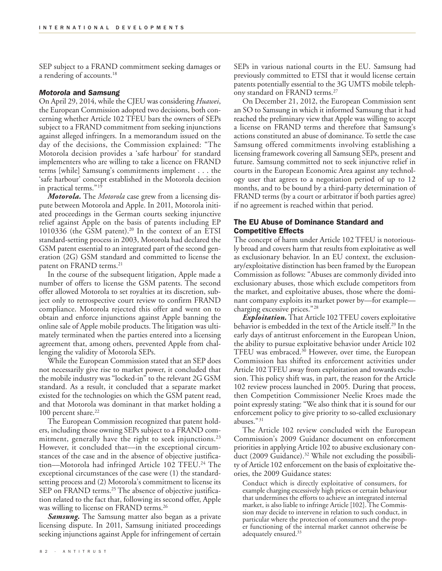SEP subject to a FRAND commitment seeking damages or a rendering of accounts. 18

### *Motorola* **and** *Samsung*

On April 29, 2014, while the CJEU was considering *Huawei*, the European Commission adopted two decisions, both concerning whether Article 102 TFEU bars the owners of SEPs subject to a FRAND commitment from seeking injunctions against alleged infringers. In a memorandum issued on the day of the decisions, the Commission explained: "The Motorola decision provides a 'safe harbour' for standard implementers who are willing to take a licence on FRAND terms [while] Samsung's commitments implement . . . the 'safe harbour' concept established in the Motorola decision in practical terms."19

*Motorola.* The *Motorola* case grew from a licensing dispute between Motorola and Apple. In 2011, Motorola initiated proceedings in the German courts seeking injunctive relief against Apple on the basis of patents including EP 1010336 (the GSM patent). <sup>20</sup> In the context of an ETSI standard-setting process in 2003, Motorola had declared the GSM patent essential to an integrated part of the second generation (2G) GSM standard and committed to license the patent on FRAND terms. 21

In the course of the subsequent litigation, Apple made a number of offers to license the GSM patents. The second offer allowed Motorola to set royalties at its discretion, subject only to retrospective court review to confirm FRAND compliance. Motorola rejected this offer and went on to obtain and enforce injunctions against Apple banning the online sale of Apple mobile products.The litigation was ultimately terminated when the parties entered into a licensing agreement that, among others, prevented Apple from challenging the validity of Motorola SEPs.

While the European Commission stated that an SEP does not necessarily give rise to market power, it concluded that the mobile industry was "locked-in" to the relevant 2G GSM standard. As a result, it concluded that a separate market existed for the technologies on which the GSM patent read, and that Motorola was dominant in that market holding a 100 percent share. 22

The European Commission recognized that patent holders, including those owning SEPs subject to a FRAND commitment, generally have the right to seek injunctions. 23 However, it concluded that––in the exceptional circumstances of the case and in the absence of objective justification––Motorola had infringed Article 102 TFEU. <sup>24</sup> The exceptional circumstances of the case were (1) the standardsetting process and (2) Motorola's commitment to license its SEP on FRAND terms. <sup>25</sup> The absence of objective justification related to the fact that, following its second offer, Apple was willing to license on FRAND terms. 26

*Samsung.* The Samsung matter also began as a private licensing dispute. In 2011, Samsung initiated proceedings seeking injunctions against Apple for infringement of certain

SEPs in various national courts in the EU. Samsung had previously committed to ETSI that it would license certain patents potentially essential to the 3G UMTS mobile telephony standard on FRAND terms. 27

On December 21, 2012, the European Commission sent an SO to Samsung in which it informed Samsung that it had reached the preliminary view that Apple was willing to accept a license on FRAND terms and therefore that Samsung's actions constituted an abuse of dominance. To settle the case Samsung offered commitments involving establishing a licensing framework covering all Samsung SEPs, present and future. Samsung committed not to seek injunctive relief in courts in the European Economic Area against any technology user that agrees to a negotiation period of up to 12 months, and to be bound by a third-party determination of FRAND terms (by a court or arbitrator if both parties agree) if no agreement is reached within that period.

## **The EU Abuse of Dominance Standard and Competitive Effects**

The concept of harm under Article 102 TFEU is notoriously broad and covers harm that results from exploitative as well as exclusionary behavior. In an EU context, the exclusionary/exploitative distinction has been framed by the European Commission as follows: "Abuses are commonly divided into exclusionary abuses, those which exclude competitors from the market, and exploitative abuses, those where the dominant company exploits its market power by—for example charging excessive prices."28

**Exploitation.** That Article 102 TFEU covers exploitative behavior is embedded in the text of the Article itself. <sup>29</sup> In the early days of antitrust enforcement in the European Union, the ability to pursue exploitative behavior under Article 102 TFEU was embraced. <sup>30</sup> However, over time, the European Commission has shifted its enforcement activities under Article 102TFEU away from exploitation and towards exclusion. This policy shift was, in part, the reason for the Article 102 review process launched in 2005. During that process, then Competition Commissioner Neelie Kroes made the point expressly stating: "We also think that it is sound for our enforcement policy to give priority to so-called exclusionary abuses."31

The Article 102 review concluded with the European Commission's 2009 Guidance document on enforcement priorities in applying Article 102 to abusive exclusionary conduct (2009 Guidance). <sup>32</sup> While not excluding the possibility of Article 102 enforcement on the basis of exploitative theories, the 2009 Guidance states:

Conduct which is directly exploitative of consumers, for example charging excessively high prices or certain behaviour that undermines the efforts to achieve an integrated internal market, is also liable to infringe Article [102]. The Commission may decide to intervene in relation to such conduct, in particular where the protection of consumers and the proper functioning of the internal market cannot otherwise be adequately ensured. 33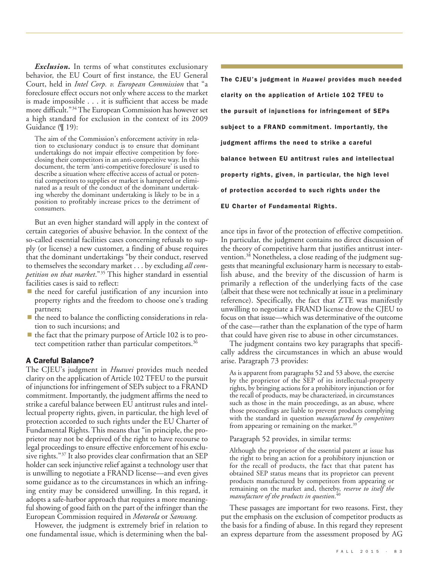*Exclusion.* In terms of what constitutes exclusionary behavior, the EU Court of first instance, the EU General Court, held in *Intel Corp. v. European Commission* that "a foreclosure effect occurs not only where access to the market is made impossible . . . it is sufficient that access be made more difficult."34The European Commission has however set a high standard for exclusion in the context of its 2009 Guidance (¶ 19):

The aim of the Commission's enforcement activity in relation to exclusionary conduct is to ensure that dominant undertakings do not impair effective competition by foreclosing their competitors in an anti-competitive way.

But an even higher standard will apply in the context of certain categories of abusive behavior. In the context of the so-called essential facilities cases concerning refusals to supply (or license) a new customer, a finding of abuse requires that the dominant undertakings "by their conduct, reserved to themselves the secondary market . . . by excluding *all competition on that market*."35 This higher standard in essential facilities cases is said to reflect:

- $\blacksquare$  the need for careful justification of any incursion into property rights and the freedom to choose one's trading partners;
- $\blacksquare$  the need to balance the conflicting considerations in relation to such incursions; and
- $\blacksquare$  the fact that the primary purpose of Article 102 is to protect competition rather than particular competitors.<sup>36</sup>

# **A Careful Balance?**

The CJEU's judgment in *Huawei* provides much needed clarity on the application of Article 102 TFEU to the pursuit of injunctions for infringement of SEPs subject to a FRAND commitment. Importantly, the judgment affirms the need to strike a careful balance between EU antitrust rules and intellectual property rights, given, in particular, the high level of protection accorded to such rights under the EU Charter of Fundamental Rights. This means that "in principle, the proprietor may not be deprived of the right to have recourse to legal proceedings to ensure effective enforcement of his exclusive rights."<sup>37</sup> It also provides clear confirmation that an SEP holder can seek injunctive relief against a technology user that is unwilling to negotiate a FRAND license—and even gives some guidance as to the circumstances in which an infringing entity may be considered unwilling. In this regard, it adopts a safe-harbor approach that requires a more meaningful showing of good faith on the part of the infringer than the European Commission required in *Motorola* or *Samsung*.

However, the judgment is extremely brief in relation to one fundamental issue, which is determining when the bal-

**The CJEU's judgment in** *Huawei* **provides much needed clarity on the application of Article 102 TFEU to the pursuit of injunctions for infringement of SEPs subject to a FRAND commitment. Importantly, the judgment affirms the need to strike a careful balance between EU antitrust rules and intellectual property rights, given, in particular, the high level of protection accorded to such rights under the EU Charter of Fundamental Rights.**

ance tips in favor of the protection of effective competition. In particular, the judgment contains no direct discussion of the theory of competitive harm that justifies antitrust intervention. <sup>38</sup> Nonetheless, a close reading of the judgment suggests that meaningful exclusionary harm is necessary to establish abuse, and the brevity of the discussion of harm is primarily a reflection of the underlying facts of the case (albeit that these were not technically at issue in a preliminary reference). Specifically, the fact that ZTE was manifestly unwilling to negotiate a FRAND license drove the CJEU to focus on that issue—which was determinative of the outcome of the case—rather than the explanation of the type of harm that could have given rise to abuse in other circumstances.

The judgment contains two key paragraphs that specifically address the circumstances in which an abuse would arise. Paragraph 73 provides:

As is apparent from paragraphs 52 and 53 above, the exercise by the proprietor of the SEP of its intellectual-property rights, by bringing actions for a prohibitory injunction or for the recall of products, may be characterized, in circumstances such as those in the main proceedings, as an abuse, where those proceedings are liable to prevent products complying with the standard in question *manufactured by competitors* from appearing or remaining on the market.<sup>39</sup>

Paragraph 52 provides, in similar terms:

Although the proprietor of the essential patent at issue has the right to bring an action for a prohibitory injunction or for the recall of products, the fact that that patent has obtained SEP status means that its proprietor can prevent products manufactured by competitors from appearing or remaining on the market and, thereby, *reserve to itself the manufacture of the products in question*. 40

These passages are important for two reasons. First, they put the emphasis on the exclusion of competitor products as the basis for a finding of abuse. In this regard they represent an express departure from the assessment proposed by AG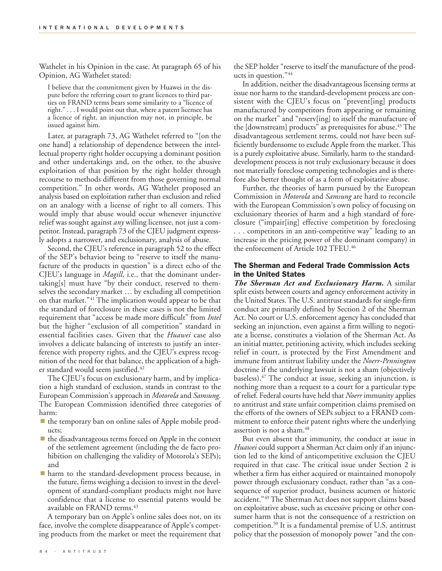Wathelet in his Opinion in the case. At paragraph 65 of his Opinion, AG Wathelet stated:

I believe that the commitment given by Huawei in the dispute before the referring court to grant licences to third parties on FRAND terms bears some similarity to a "licence of right." . . . I would point out that, where a patent licensee has a licence of right, an injunction may not, in principle, be issued against him.

Later, at paragraph 73, AG Wathelet referred to "[on the one hand] a relationship of dependence between the intellectual property right holder occupying a dominant position and other undertakings and, on the other, to the abusive exploitation of that position by the right holder through recourse to methods different from those governing normal competition." In other words, AG Wathelet proposed an analysis based on exploitation rather than exclusion and relied on an analogy with a license of right to all comers. This would imply that abuse would occur whenever injunctive relief was sought against *any* willing licensee, not just a competitor. Instead, paragraph 73 of the CJEU judgment expressly adopts a narrower, and exclusionary, analysis of abuse.

Second, the CJEU's reference in paragraph 52 to the effect of the SEP's behavior being to "reserve to itself the manufacture of the products in question" is a direct echo of the CJEU's language in *Magill*, i.e., that the dominant undertaking[s] must have "by their conduct, reserved to themselves the secondary market … by excluding all competition on that market."41 The implication would appear to be that the standard of foreclosure in these cases is not the limited requirement that "access be made more difficult" from *Intel* but the higher "exclusion of all competition" standard in essential facilities cases. Given that the *Huawei* case also involves a delicate balancing of interests to justify an interference with property rights, and the CJEU's express recognition of the need for that balance, the application of a higher standard would seem justified. 42

The CJEU's focus on exclusionary harm, and by implication a high standard of exclusion, stands in contrast to the European Commission's approach in *Motorola* and *Samsung*. The European Commission identified three categories of harm:

- the temporary ban on online sales of Apple mobile products;
- $\blacksquare$  the disadvantageous terms forced on Apple in the context of the settlement agreement (including the de facto prohibition on challenging the validity of Motorola's SEPs); and
- **harm to the standard-development process because, in** the future, firms weighing a decision to invest in the development of standard-compliant products might not have confidence that a license to essential patents would be available on FRAND terms. 43

A temporary ban on Apple's online sales does not, on its face, involve the complete disappearance of Apple's competing products from the market or meet the requirement that the SEP holder "reserve to itself the manufacture of the products in question."44

In addition, neither the disadvantageous licensing terms at issue nor harm to the standard-development process are consistent with the CJEU's focus on "prevent[ing] products manufactured by competitors from appearing or remaining on the market" and "reserv[ing] to itself the manufacture of the [downstream] products" as prerequisites for abuse. <sup>45</sup> The disadvantageous settlement terms, could not have been sufficiently burdensome to exclude Apple from the market. This is a purely exploitative abuse. Similarly, harm to the standarddevelopment process is not truly exclusionary because it does not materially foreclose competing technologies and is therefore also better thought of as a form of exploitative abuse.

Further, the theories of harm pursued by the European Commission in *Motorola* and *Samsung* are hard to reconcile with the European Commission's own policy of focusing on exclusionary theories of harm and a high standard of foreclosure ("impair[ing] effective competition by foreclosing . . . competitors in an anti-competitive way" leading to an increase in the pricing power of the dominant company) in the enforcement of Article 102 TFEU. 46

# **The Sherman and Federal Trade Commission Acts in the United States**

*The Sherman Act and Exclusionary Harm.* A similar split exists between courts and agency enforcement activity in the United States.The U.S. antitrust standards for single-firm conduct are primarily defined by Section 2 of the Sherman Act. No court or U.S. enforcement agency has concluded that seeking an injunction, even against a firm willing to negotiate a license, constitutes a violation of the Sherman Act. As an initial matter, petitioning activity, which includes seeking relief in court, is protected by the First Amendment and immune from antitrust liability under the *Noerr-Pennington* doctrine if the underlying lawsuit is not a sham (objectively baseless). <sup>47</sup> The conduct at issue, seeking an injunction, is nothing more than a request to a court for a particular type of relief. Federal courts have held that *Noerr* immunity applies to antitrust and state unfair competition claims premised on the efforts of the owners of SEPs subject to a FRAND commitment to enforce their patent rights where the underlying assertion is not a sham. 48

But even absent that immunity, the conduct at issue in *Huawei* could support a Sherman Act claim only if an injunction led to the kind of anticompetitive exclusion the CJEU required in that case. The critical issue under Section 2 is whether a firm has either acquired or maintained monopoly power through exclusionary conduct, rather than "as a consequence of superior product, business acumen or historic accident."49 The Sherman Act does not support claims based on exploitative abuse, such as excessive pricing or other consumer harm that is not the consequence of a restriction on competition. <sup>50</sup> It is a fundamental premise of U.S. antitrust policy that the possession of monopoly power "and the con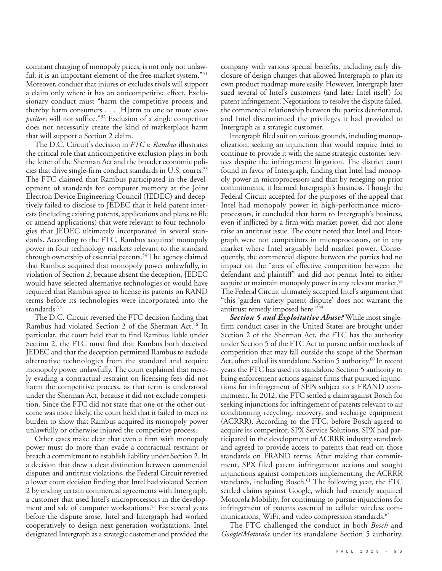comitant charging of monopoly prices, is not only not unlawful; it is an important element of the free-market system."<sup>51</sup> Moreover, conduct that injures or excludes rivals will support a claim only where it has an anticompetitive effect. Exclusionary conduct must "harm the competitive process and thereby harm consumers . . . [H]arm to one or more *competitors* will not suffice."52 Exclusion of a single competitor does not necessarily create the kind of marketplace harm that will support a Section 2 claim.

The D.C. Circuit's decision in *FTC v. Rambus* illustrates the critical role that anticompetitive exclusion plays in both the letter of the Sherman Act and the broader economic policies that drive single-firm conduct standards in U.S. courts. 53 The FTC claimed that Rambus participated in the development of standards for computer memory at the Joint Electron Device Engineering Council (JEDEC) and deceptively failed to disclose to JEDEC that it held patent interests (including existing patents, applications and plans to file or amend applications) that were relevant to four technologies that JEDEC ultimately incorporated in several standards. According to the FTC, Rambus acquired monopoly power in four technology markets relevant to the standard through ownership of essential patents. <sup>54</sup> The agency claimed that Rambus acquired that monopoly power unlawfully, in violation of Section 2, because absent the deception, JEDEC would have selected alternative technologies or would have required that Rambus agree to license its patents on RAND terms before its technologies were incorporated into the standards. 55

The D.C. Circuit reversed the FTC decision finding that Rambus had violated Section 2 of the Sherman Act. <sup>56</sup> In particular, the court held that to find Rambus liable under Section 2, the FTC must find that Rambus both deceived JEDEC and that the deception permitted Rambus to exclude alternative technologies from the standard and acquire monopoly power unlawfully. The court explained that merely evading a contractual restraint on licensing fees did not harm the competitive process, as that term is understood under the Sherman Act, because it did not exclude competition. Since the FTC did not state that one or the other outcome was more likely, the court held that it failed to meet its burden to show that Rambus acquired its monopoly power unlawfully or otherwise injured the competitive process.

Other cases make clear that even a firm with monopoly power must do more than evade a contractual restraint or breach a commitment to establish liability under Section 2. In a decision that drew a clear distinction between commercial disputes and antitrust violations, the Federal Circuit reversed a lower court decision finding that Intel had violated Section 2 by ending certain commercial agreements with Intergraph, a customer that used Intel's microprocessors in the development and sale of computer workstations. <sup>57</sup> For several years before the dispute arose, Intel and Intergraph had worked cooperatively to design next-generation workstations. Intel designated Intergraph as a strategic customer and provided the company with various special benefits, including early disclosure of design changes that allowed Intergraph to plan its own product roadmap more easily. However, Intergraph later sued several of Intel's customers (and later Intel itself) for patent infringement. Negotiations to resolve the dispute failed, the commercial relationship between the parties deteriorated, and Intel discontinued the privileges it had provided to Intergraph as a strategic customer.

Intergraph filed suit on various grounds, including monopolization, seeking an injunction that would require Intel to continue to provide it with the same strategic customer services despite the infringement litigation. The district court found in favor of Intergraph, finding that Intel had monopoly power in microprocessors and that by reneging on prior commitments, it harmed Intergraph's business. Though the Federal Circuit accepted for the purposes of the appeal that Intel had monopoly power in high-performance microprocessors, it concluded that harm to Intergraph's business, even if inflicted by a firm with market power, did not alone raise an antitrust issue. The court noted that Intel and Intergraph were not competitors in microprocessors, or in any market where Intel arguably held market power. Consequently, the commercial dispute between the parties had no impact on the "area of effective competition between the defendant and plaintiff" and did not permit Intel to either acquire or maintain monopoly power in any relevant market. 58 The Federal Circuit ultimately accepted Intel's argument that "this 'garden variety patent dispute' does not warrant the antitrust remedy imposed here."59

*Section 5 and Exploitative Abuse?* While most singlefirm conduct cases in the United States are brought under Section 2 of the Sherman Act, the FTC has the authority under Section 5 of the FTC Act to pursue unfair methods of competition that may fall outside the scope of the Sherman Act, often called its standalone Section 5 authority. <sup>60</sup> In recent years the FTC has used its standalone Section 5 authority to bring enforcement actions against firms that pursued injunctions for infringement of SEPs subject to a FRAND commitment. In 2012, the FTC settled a claim against Bosch for seeking injunctions for infringement of patents relevant to air conditioning recycling, recovery, and recharge equipment (ACRRR). According to the FTC, before Bosch agreed to acquire its competitor, SPX Service Solutions, SPX had participated in the development of ACRRR industry standards and agreed to provide access to patents that read on those standards on FRAND terms. After making that commitment, SPX filed patent infringement actions and sought injunctions against competitors implementing the ACRRR standards, including Bosch. <sup>61</sup> The following year, the FTC settled claims against Google, which had recently acquired Motorola Mobility, for continuing to pursue injunctions for infringement of patents essential to cellular wireless communications, WiFi, and video compression standards. 62

The FTC challenged the conduct in both *Bosch* and *Google/Motorola* under its standalone Section 5 authority.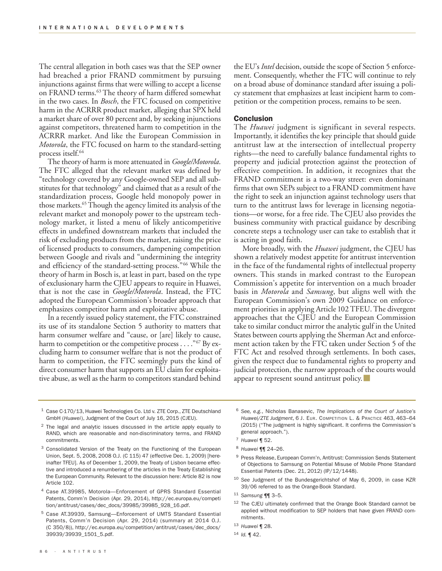The central allegation in both cases was that the SEP owner had breached a prior FRAND commitment by pursuing injunctions against firms that were willing to accept a license on FRAND terms. <sup>63</sup> The theory of harm differed somewhat in the two cases. In *Bosch*, the FTC focused on competitive harm in the ACRRR product market, alleging that SPX held a market share of over 80 percent and, by seeking injunctions against competitors, threatened harm to competition in the ACRRR market. And like the European Commission in *Motorola*, the FTC focused on harm to the standard-setting process itself. 64

The theory of harm is more attenuated in *Google/Motorola*. The FTC alleged that the relevant market was defined by "technology covered by any Google-owned SEP and all substitutes for that technology" and claimed that as a result of the standardization process, Google held monopoly power in those markets. 65Though the agency limited its analysis of the relevant market and monopoly power to the upstream technology market, it listed a menu of likely anticompetitive effects in undefined downstream markets that included the risk of excluding products from the market, raising the price of licensed products to consumers, dampening competition between Google and rivals and "undermining the integrity and efficiency of the standard-setting process."66 While the theory of harm in Bosch is, at least in part, based on the type of exclusionary harm the CJEU appears to require in Huawei, that is not the case in *Google/Motorola*. Instead, the FTC adopted the European Commission's broader approach that emphasizes competitor harm and exploitative abuse.

In a recently issued policy statement, the FTC constrained its use of its standalone Section 5 authority to matters that harm consumer welfare and "cause, or [are] likely to cause, harm to competition or the competitive process . . . . "<sup>67</sup> By excluding harm to consumer welfare that is not the product of harm to competition, the FTC seemingly puts the kind of direct consumer harm that supports an EU claim for exploitative abuse, as well as the harm to competitors standard behind

the EU's *Intel* decision, outside the scope of Section 5 enforcement. Consequently, whether the FTC will continue to rely on a broad abuse of dominance standard after issuing a policy statement that emphasizes at least incipient harm to competition or the competition process, remains to be seen.

### **Conclusion**

The *Huawei* judgment is significant in several respects. Importantly, it identifies the key principle that should guide antitrust law at the intersection of intellectual property rights—the need to carefully balance fundamental rights to property and judicial protection against the protection of effective competition. In addition, it recognizes that the FRAND commitment is a two-way street: even dominant firms that own SEPs subject to a FRAND commitment have the right to seek an injunction against technology users that turn to the antitrust laws for leverage in licensing negotiations—or worse, for a free ride. The CJEU also provides the business community with practical guidance by describing concrete steps a technology user can take to establish that it is acting in good faith.

More broadly, with the *Huawei* judgment, the CJEU has shown a relatively modest appetite for antitrust intervention in the face of the fundamental rights of intellectual property owners. This stands in marked contrast to the European Commission's appetite for intervention on a much broader basis in *Motorola* and *Samsung*, but aligns well with the European Commission's own 2009 Guidance on enforcement priorities in applying Article 102TFEU.The divergent approaches that the CJEU and the European Commission take to similar conduct mirror the analytic gulf in the United States between courts applying the Sherman Act and enforcement action taken by the FTC taken under Section 5 of the FTC Act and resolved through settlements. In both cases, given the respect due to fundamental rights to property and judicial protection, the narrow approach of the courts would appear to represent sound antitrust policy.

- <sup>1</sup> Case C-170/13, Huawei Technologies Co. Ltd v. ZTE Corp., ZTE Deutschland GmbH (*Huawei*), Judgment of the Court of July 16, 2015 (CJEU).
- <sup>2</sup> The legal and analytic issues discussed in the article apply equally to RAND, which are reasonable and non-discriminatory terms, and FRAND commitments.
- <sup>3</sup> Consolidated Version of the Treaty on the Functioning of the European Union, Sept. 5, 2008, 2008 O.J. (C 115) 47 (effective Dec. 1, 2009) [hereinafter TFEU]. As of December 1, 2009, the Treaty of Lisbon became effective and introduced a renumbering of the articles in the Treaty Establishing the European Community. Relevant to the discussion here: Article 82 is now Article 102.
- <sup>4</sup> Case AT.39985, Motorola—Enforcement of GPRS Standard Essential Patents, Comm'n Decision (Apr. 29, 2014), http://ec.europa.eu/competi tion/antitrust/cases/dec\_docs/39985/39985\_928\_16.pdf.
- <sup>5</sup> Case AT.39939, Samsung—Enforcement of UMTS Standard Essential Patents, Comm'n Decision (Apr. 29, 2014) (summary at 2014 O.J. (C 350/8)), http://ec.europa.eu/competition/antitrust/cases/dec\_docs/ 39939/39939\_1501\_5.pdf.
- <sup>6</sup> *See, e.g.*, Nicholas Banasevic, *The Implications of the Court of Justice's Huawei/ZTE Judgment*, 6 J. EUR. COMPETITION L. & PRACTICE 463, 463–64 (2015) ("The judgment is highly significant. It confirms the Commission's general approach.").
- <sup>7</sup> *Huawei* ¶ 52.
- <sup>8</sup> *Huawei* ¶¶ 24–26.
- <sup>9</sup> Press Release, European Comm'n, Antitrust: Commission Sends Statement of Objections to Samsung on Potential Misuse of Mobile Phone Standard Essential Patents (Dec. 21, 2012) (IP/12/1448).
- <sup>10</sup> *See* Judgment of the Bundesgerichtshof of May 6, 2009, in case KZR 39/06 referred to as the Orange-Book Standard.
- <sup>11</sup> *Samsung* ¶¶ 3–5.
- <sup>12</sup> The CJEU ultimately confirmed that the Orange Book Standard cannot be applied without modification to SEP holders that have given FRAND commitments.
- <sup>13</sup> *Huawei* ¶ 28.
- <sup>14</sup> *Id.* ¶ 42.